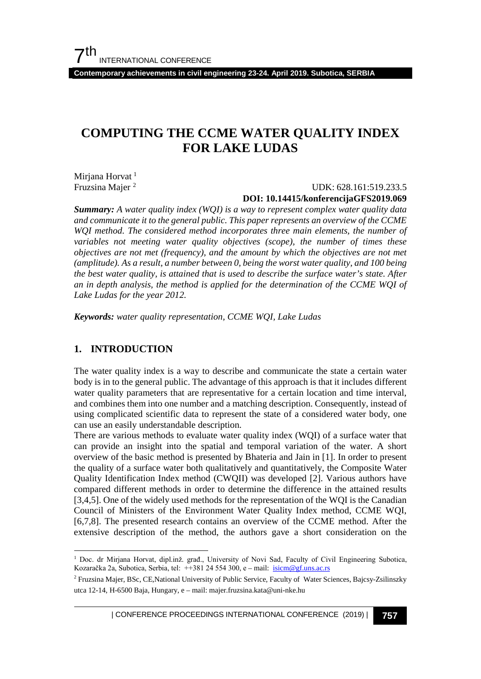**Contemporary achievements in civil engineering 23-24. April 2019. Subotica, SERBIA**

# **COMPUTING THE CCME WATER QUALITY INDEX FOR LAKE LUDAS**

Mirjana Horvat<sup>[1](#page-0-0)</sup> Fruzsina Majer [2](#page-0-1)

### UDK: 628.161:519.233.5 **DOI: 10.14415/konferencijaGFS2019.069**

*Summary: A water quality index (WQI) is a way to represent complex water quality data and communicate it to the general public. This paper represents an overview of the CCME WQI method. The considered method incorporates three main elements, the number of variables not meeting water quality objectives (scope), the number of times these objectives are not met (frequency), and the amount by which the objectives are not met (amplitude). As a result, a number between 0, being the worst water quality, and 100 being the best water quality, is attained that is used to describe the surface water's state. After an in depth analysis, the method is applied for the determination of the CCME WQI of Lake Ludas for the year 2012.* 

*Keywords: water quality representation, CCME WQI, Lake Ludas*

## **1. INTRODUCTION**

The water quality index is a way to describe and communicate the state a certain water body is in to the general public. The advantage of this approach is that it includes different water quality parameters that are representative for a certain location and time interval, and combines them into one number and a matching description. Consequently, instead of using complicated scientific data to represent the state of a considered water body, one can use an easily understandable description.

There are various methods to evaluate water quality index (WQI) of a surface water that can provide an insight into the spatial and temporal variation of the water. A short overview of the basic method is presented by Bhateria and Jain in [1]. In order to present the quality of a surface water both qualitatively and quantitatively, the Composite Water Quality Identification Index method (CWQII) was developed [2]. Various authors have compared different methods in order to determine the difference in the attained results [3,4,5]. One of the widely used methods for the representation of the WQI is the Canadian Council of Ministers of the Environment Water Quality Index method, CCME WQI, [6,7,8]. The presented research contains an overview of the CCME method. After the extensive description of the method, the authors gave a short consideration on the

| CONFERENCE PROCEEDINGS INTERNATIONAL CONFERENCE (2019) <sup>|</sup>**757**

<span id="page-0-0"></span><sup>&</sup>lt;sup>1</sup> Doc. dr Mirjana Horvat, dipl.inž. građ., University of Novi Sad, Faculty of Civil Engineering Subotica, Kozaračka 2a, Subotica, Serbia, tel: ++381 24 554 300, e – mail: [isicm@gf.uns.ac.rs](mailto:isicm@gf.uns.ac.rs)

<span id="page-0-1"></span><sup>2</sup> Fruzsina Majer, BSc, CE,National University of Public Service, Faculty of Water Sciences, Bajcsy-Zsilinszky utca 12-14, H-6500 Baja, Hungary, e – mail: majer.fruzsina.kata@uni-nke.hu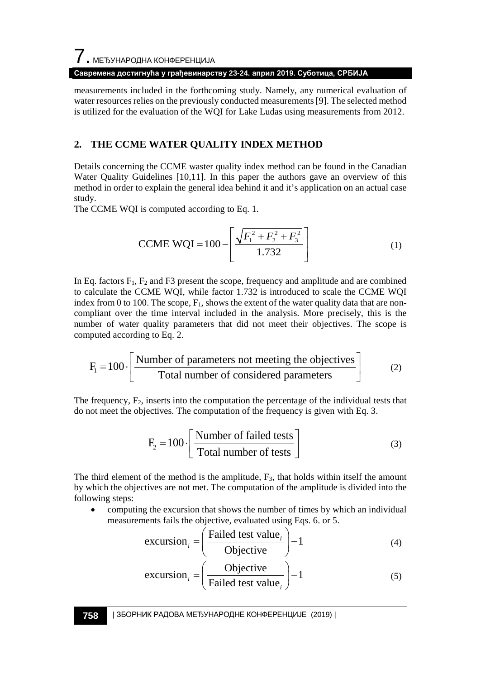#### **Савремена достигнућа у грађевинарству 23-24. април 2019. Суботица, СРБИЈА**

measurements included in the forthcoming study. Namely, any numerical evaluation of water resources relies on the previously conducted measurements [9]. The selected method is utilized for the evaluation of the WQI for Lake Ludas using measurements from 2012.

### **2. THE CCME WATER QUALITY INDEX METHOD**

Details concerning the CCME waster quality index method can be found in the Canadian Water Quality Guidelines [10,11]. In this paper the authors gave an overview of this method in order to explain the general idea behind it and it's application on an actual case study.

The CCME WQI is computed according to Eq. 1.

$$
\text{CCME WQI} = 100 - \left[ \frac{\sqrt{F_1^2 + F_2^2 + F_3^2}}{1.732} \right] \tag{1}
$$

In Eq. factors  $F_1$ ,  $F_2$  and  $F_3$  present the scope, frequency and amplitude and are combined to calculate the CCME WQI, while factor 1.732 is introduced to scale the CCME WQI index from 0 to 100. The scope,  $F_1$ , shows the extent of the water quality data that are noncompliant over the time interval included in the analysis. More precisely, this is the number of water quality parameters that did not meet their objectives. The scope is computed according to Eq. 2.

$$
F_1 = 100 \cdot \left[ \frac{\text{Number of parameters not meeting the objectives}}{\text{Total number of considered parameters}} \right] \tag{2}
$$

The frequency,  $F_2$ , inserts into the computation the percentage of the individual tests that do not meet the objectives. The computation of the frequency is given with Eq. 3.

$$
F_2 = 100 \cdot \left[ \frac{\text{Number of failed tests}}{\text{Total number of tests}} \right]
$$
 (3)

The third element of the method is the amplitude,  $F_3$ , that holds within itself the amount by which the objectives are not met. The computation of the amplitude is divided into the following steps:

• computing the excursion that shows the number of times by which an individual measurements fails the objective, evaluated using Eqs. 6. or 5.

$$
\text{excursion}_{i} = \left(\frac{\text{Failed test value}_{i}}{\text{Objective}}\right) - 1\tag{4}
$$

$$
\text{excursion}_{i} = \left(\frac{\text{Objective}}{\text{Failed test value}_{i}}\right) - 1\tag{5}
$$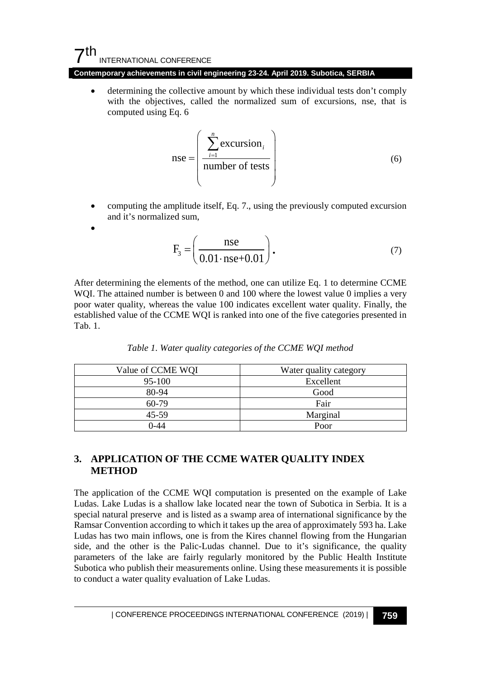# $7<sup>th</sup>$ INTERNATIONAL CONFERENCE

•

**Contemporary achievements in civil engineering 23-24. April 2019. Subotica, SERBIA**

determining the collective amount by which these individual tests don't comply with the objectives, called the normalized sum of excursions, nse, that is computed using Eq. 6

$$
nse = \left(\frac{\sum_{i=1}^{n} \text{excursion}_{i}}{\text{number of tests}}\right)
$$
 (6)

• computing the amplitude itself, Eq. 7., using the previously computed excursion and it's normalized sum,

$$
F_3 = \left(\frac{\text{nse}}{0.01 \cdot \text{nse} + 0.01}\right). \tag{7}
$$

After determining the elements of the method, one can utilize Eq. 1 to determine CCME WQI. The attained number is between 0 and 100 where the lowest value 0 implies a very poor water quality, whereas the value 100 indicates excellent water quality. Finally, the established value of the CCME WQI is ranked into one of the five categories presented in Tab. 1.

| Value of CCME WQI | Water quality category |
|-------------------|------------------------|
| $95-100$          | Excellent              |
| 80-94             | Good                   |
| $60-79$           | Fair                   |
| 45-59             | Marginal               |
| በ-44              | Poor                   |

*Table 1. Water quality categories of the CCME WQI method*

## **3. APPLICATION OF THE CCME WATER QUALITY INDEX METHOD**

The application of the CCME WQI computation is presented on the example of Lake Ludas. Lake Ludas is a shallow lake located near the town of Subotica in Serbia. It is a special natural preserve and is listed as a swamp area of international significance by the Ramsar Convention according to which it takes up the area of approximately 593 ha. Lake Ludas has two main inflows, one is from the Kires channel flowing from the Hungarian side, and the other is the Palic-Ludas channel. Due to it's significance, the quality parameters of the lake are fairly regularly monitored by the Public Health Institute Subotica who publish their measurements online. Using these measurements it is possible to conduct a water quality evaluation of Lake Ludas.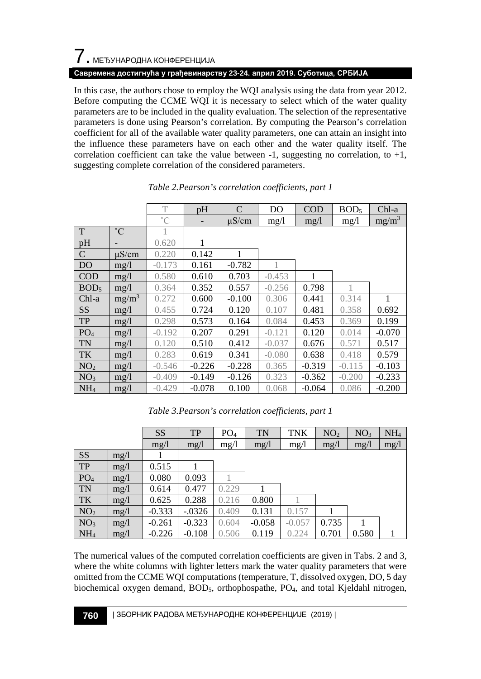# 7. МЕЂУНАРОДНА КОНФЕРЕНЦИЈА

### **Савремена достигнућа у грађевинарству 23-24. април 2019. Суботица, СРБИЈА**

In this case, the authors chose to employ the WQI analysis using the data from year 2012. Before computing the CCME WQI it is necessary to select which of the water quality parameters are to be included in the quality evaluation. The selection of the representative parameters is done using Pearson's correlation. By computing the Pearson's correlation coefficient for all of the available water quality parameters, one can attain an insight into the influence these parameters have on each other and the water quality itself. The correlation coefficient can take the value between  $-1$ , suggesting no correlation, to  $+1$ , suggesting complete correlation of the considered parameters.

|                  |                          | T           | pH       | $\mathcal{C}$ | D <sub>O</sub> | <b>COD</b> | BOD <sub>5</sub> | Chl-a    |
|------------------|--------------------------|-------------|----------|---------------|----------------|------------|------------------|----------|
|                  |                          | $^{\circ}C$ |          | $\mu$ S/cm    | mg/l           | mg/l       | mg/1             | $mg/m^3$ |
| T                | $^{\circ}C$              |             |          |               |                |            |                  |          |
| pH               | $\overline{\phantom{0}}$ | 0.620       | 1        |               |                |            |                  |          |
| $\mathbf C$      | $\mu$ S/cm               | 0.220       | 0.142    | 1             |                |            |                  |          |
| <b>DO</b>        | mg/l                     | $-0.173$    | 0.161    | $-0.782$      |                |            |                  |          |
| <b>COD</b>       | mg/l                     | 0.580       | 0.610    | 0.703         | $-0.453$       | 1          |                  |          |
| BOD <sub>5</sub> | mg/1                     | 0.364       | 0.352    | 0.557         | $-0.256$       | 0.798      |                  |          |
| Chl-a            | $mg/m^3$                 | 0.272       | 0.600    | $-0.100$      | 0.306          | 0.441      | 0.314            | 1        |
| <b>SS</b>        | mg/1                     | 0.455       | 0.724    | 0.120         | 0.107          | 0.481      | 0.358            | 0.692    |
| <b>TP</b>        | mg/1                     | 0.298       | 0.573    | 0.164         | 0.084          | 0.453      | 0.369            | 0.199    |
| PO <sub>4</sub>  | mg/l                     | $-0.192$    | 0.207    | 0.291         | $-0.121$       | 0.120      | 0.014            | $-0.070$ |
| <b>TN</b>        | mg/1                     | 0.120       | 0.510    | 0.412         | $-0.037$       | 0.676      | 0.571            | 0.517    |
| TK               | mg/1                     | 0.283       | 0.619    | 0.341         | $-0.080$       | 0.638      | 0.418            | 0.579    |
| NO <sub>2</sub>  | mg/1                     | $-0.546$    | $-0.226$ | $-0.228$      | 0.365          | $-0.319$   | $-0.115$         | $-0.103$ |
| NO <sub>3</sub>  | mg/1                     | $-0.409$    | $-0.149$ | $-0.126$      | 0.323          | $-0.362$   | $-0.200$         | $-0.233$ |
| NH <sub>4</sub>  | mg/1                     | $-0.429$    | $-0.078$ | 0.100         | 0.068          | $-0.064$   | 0.086            | $-0.200$ |

#### *Table 2.Pearson's correlation coefficients, part 1*

*Table 3.Pearson's correlation coefficients, part 1*

|                 |      | SS       | <b>TP</b> | PO <sub>4</sub> | <b>TN</b> | <b>TNK</b> | NO <sub>2</sub> | NO <sub>3</sub> | NH <sub>4</sub> |
|-----------------|------|----------|-----------|-----------------|-----------|------------|-----------------|-----------------|-----------------|
|                 |      | mg/l     | mg/1      | mg/1            | mg/1      | mg/1       | mg/1            | mg/1            | mg/l            |
| <b>SS</b>       | mg/1 |          |           |                 |           |            |                 |                 |                 |
| <b>TP</b>       | mg/1 | 0.515    |           |                 |           |            |                 |                 |                 |
| PO <sub>4</sub> | mg/1 | 0.080    | 0.093     |                 |           |            |                 |                 |                 |
| <b>TN</b>       | mg/1 | 0.614    | 0.477     | 0.229           |           |            |                 |                 |                 |
| TK              | mg/1 | 0.625    | 0.288     | 0.216           | 0.800     |            |                 |                 |                 |
| NO <sub>2</sub> | mg/1 | $-0.333$ | $-.0326$  | 0.409           | 0.131     | 0.157      |                 |                 |                 |
| NO <sub>3</sub> | mg/1 | $-0.261$ | $-0.323$  | 0.604           | $-0.058$  | $-0.057$   | 0.735           |                 |                 |
| NH <sub>4</sub> | mg/l | $-0.226$ | $-0.108$  | 0.506           | 0.119     | 0.224      | 0.701           | 0.580           |                 |

The numerical values of the computed correlation coefficients are given in Tabs. 2 and 3, where the white columns with lighter letters mark the water quality parameters that were omitted from the CCME WQI computations (temperature, T, dissolved oxygen, DO, 5 day biochemical oxygen demand, BOD<sub>5</sub>, orthophospathe, PO<sub>4</sub>, and total Kjeldahl nitrogen,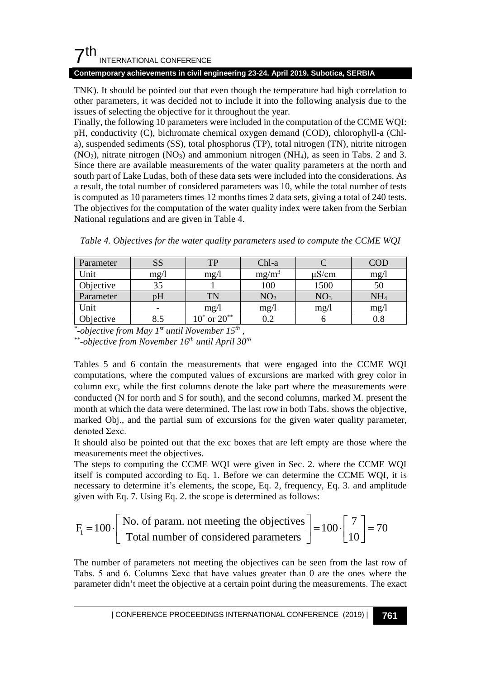# $7<sup>th</sup>$ INTERNATIONAL CONFERENCE

### **Contemporary achievements in civil engineering 23-24. April 2019. Subotica, SERBIA**

TNK). It should be pointed out that even though the temperature had high correlation to other parameters, it was decided not to include it into the following analysis due to the issues of selecting the objective for it throughout the year.

Finally, the following 10 parameters were included in the computation of the CCME WQI: pH, conductivity (C), bichromate chemical oxygen demand (COD), chlorophyll-a (Chla), suspended sediments (SS), total phosphorus (TP), total nitrogen (TN), nitrite nitrogen  $(NO<sub>2</sub>)$ , nitrate nitrogen  $(NO<sub>3</sub>)$  and ammonium nitrogen  $(NH<sub>4</sub>)$ , as seen in Tabs. 2 and 3. Since there are available measurements of the water quality parameters at the north and south part of Lake Ludas, both of these data sets were included into the considerations. As a result, the total number of considered parameters was 10, while the total number of tests is computed as 10 parameters times 12 months times 2 data sets, giving a total of 240 tests. The objectives for the computation of the water quality index were taken from the Serbian National regulations and are given in Table 4.

| Parameter | <b>SS</b> | TP                  | Chl-a           |                 | COD             |
|-----------|-----------|---------------------|-----------------|-----------------|-----------------|
| Unit      | mg/l      | mg/1                | $mg/m^3$        | $\mu$ S/cm      | mg/             |
| Objective |           |                     | 100             | 1500            | 50              |
| Parameter | DН        | TN                  | NO <sub>2</sub> | NO <sub>3</sub> | NH <sub>4</sub> |
| Unit      |           | mg/l                | mg/1            | mg/1            | mg/             |
| Objective |           | $10^*$ or $20^{**}$ | 9.2             |                 | $_{0.8}$        |

*Table 4. Objectives for the water quality parameters used to compute the CCME WQI*

*\**-objective from May 1<sup>st</sup> until November 15<sup>th</sup>,

*-objective from May 1st until November 15th , \*\*-objective from November 16th until April 30th*

Tables 5 and 6 contain the measurements that were engaged into the CCME WQI computations, where the computed values of excursions are marked with grey color in column exc, while the first columns denote the lake part where the measurements were conducted (N for north and S for south), and the second columns, marked M. present the month at which the data were determined. The last row in both Tabs. shows the objective, marked Obj., and the partial sum of excursions for the given water quality parameter, denoted **Σexc**.

It should also be pointed out that the exc boxes that are left empty are those where the measurements meet the objectives.

The steps to computing the CCME WQI were given in Sec. 2. where the CCME WQI itself is computed according to Eq. 1. Before we can determine the CCME WQI, it is necessary to determine it's elements, the scope, Eq. 2, frequency, Eq. 3. and amplitude given with Eq. 7. Using Eq. 2. the scope is determined as follows:

$$
F_1 = 100 \cdot \left[ \frac{\text{No. of param. not meeting the objectives}}{\text{Total number of considered parameters}} \right] = 100 \cdot \left[ \frac{7}{10} \right] = 70
$$

The number of parameters not meeting the objectives can be seen from the last row of Tabs. 5 and 6. Columns  $\Sigma$ exc that have values greater than 0 are the ones where the parameter didn't meet the objective at a certain point during the measurements. The exact

| CONFERENCE PROCEEDINGS INTERNATIONAL CONFERENCE (2019) <sup>|</sup>**761**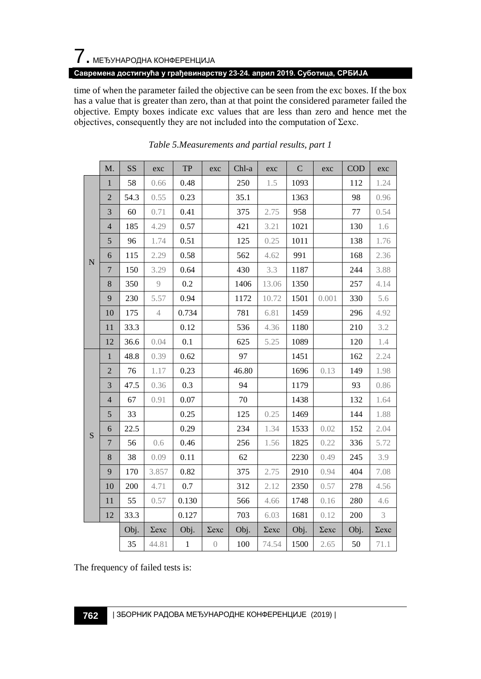# 7. МЕЂУНАРОДНА КОНФЕРЕНЦИЈА

### **Савремена достигнућа у грађевинарству 23-24. април 2019. Суботица, СРБИЈА**

time of when the parameter failed the objective can be seen from the exc boxes. If the box has a value that is greater than zero, than at that point the considered parameter failed the objective. Empty boxes indicate exc values that are less than zero and hence met the objectives, consequently they are not included into the computation of  $\Sigma$ exc.

|             | $M$ .            | SS   | exc            | ${\rm TP}$   | exc            | Chl-a | exc          | ${\bf C}$ | exc          | $\rm{COD}$ | exc               |
|-------------|------------------|------|----------------|--------------|----------------|-------|--------------|-----------|--------------|------------|-------------------|
|             | $\mathbf{1}$     | 58   | 0.66           | 0.48         |                | 250   | 1.5          | 1093      |              | 112        | 1.24              |
|             | $\sqrt{2}$       | 54.3 | 0.55           | 0.23         |                | 35.1  |              | 1363      |              | 98         | 0.96              |
|             | $\mathfrak{Z}$   | 60   | 0.71           | 0.41         |                | 375   | 2.75         | 958       |              | 77         | 0.54              |
|             | $\overline{4}$   | 185  | 4.29           | 0.57         |                | 421   | 3.21         | 1021      |              | 130        | 1.6               |
|             | $\sqrt{5}$       | 96   | 1.74           | 0.51         |                | 125   | 0.25         | 1011      |              | 138        | 1.76              |
| $\mathbf N$ | 6                | 115  | 2.29           | 0.58         |                | 562   | 4.62         | 991       |              | 168        | 2.36              |
|             | $\overline{7}$   | 150  | 3.29           | 0.64         |                | 430   | 3.3          | 1187      |              | 244        | 3.88              |
|             | $\,$ 8 $\,$      | 350  | 9              | 0.2          |                | 1406  | 13.06        | 1350      |              | 257        | 4.14              |
|             | 9                | 230  | 5.57           | 0.94         |                | 1172  | 10.72        | 1501      | 0.001        | 330        | 5.6               |
|             | 10               | 175  | $\overline{4}$ | 0.734        |                | 781   | 6.81         | 1459      |              | 296        | 4.92              |
|             | 11               | 33.3 |                | 0.12         |                | 536   | 4.36         | 1180      |              | 210        | 3.2               |
|             | 12               | 36.6 | 0.04           | 0.1          |                | 625   | 5.25         | 1089      |              | 120        | 1.4               |
|             | $\mathbf{1}$     | 48.8 | 0.39           | 0.62         |                | 97    |              | 1451      |              | 162        | 2.24              |
|             | $\sqrt{2}$       | 76   | 1.17           | 0.23         |                | 46.80 |              | 1696      | 0.13         | 149        | 1.98              |
|             | 3                | 47.5 | 0.36           | 0.3          |                | 94    |              | 1179      |              | 93         | 0.86              |
|             | $\overline{4}$   | 67   | 0.91           | 0.07         |                | 70    |              | 1438      |              | 132        | 1.64              |
|             | 5                | 33   |                | 0.25         |                | 125   | 0.25         | 1469      |              | 144        | 1.88              |
| S           | $\boldsymbol{6}$ | 22.5 |                | 0.29         |                | 234   | 1.34         | 1533      | 0.02         | 152        | 2.04              |
|             | 7                | 56   | 0.6            | 0.46         |                | 256   | 1.56         | 1825      | 0.22         | 336        | 5.72              |
|             | $\,$ 8 $\,$      | 38   | 0.09           | 0.11         |                | 62    |              | 2230      | 0.49         | 245        | 3.9               |
|             | 9                | 170  | 3.857          | 0.82         |                | 375   | 2.75         | 2910      | 0.94         | 404        | 7.08              |
|             | 10               | 200  | 4.71           | 0.7          |                | 312   | 2.12         | 2350      | 0.57         | 278        | 4.56              |
|             | 11               | 55   | 0.57           | 0.130        |                | 566   | 4.66         | 1748      | 0.16         | 280        | 4.6               |
|             | 12               | 33.3 |                | 0.127        |                | 703   | 6.03         | 1681      | 0.12         | 200        | 3                 |
|             |                  | Obj. | $\sum$ exc     | Obj.         | $\sum$ exc     | Obj.  | $\Sigma$ exc | Obj.      | $\Sigma$ exc | Obj.       | $\Sigma{\rm exc}$ |
|             |                  | 35   | 44.81          | $\mathbf{1}$ | $\overline{0}$ | 100   | 74.54        | 1500      | 2.65         | 50         | 71.1              |



The frequency of failed tests is: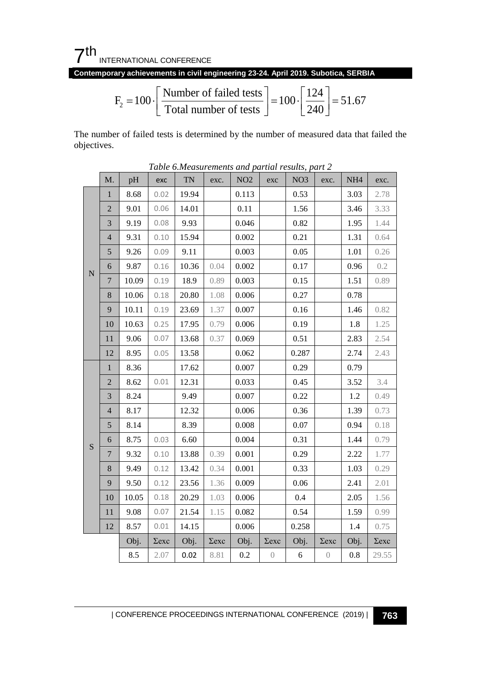7th INTERNATIONAL CONFERENCE

**Contemporary achievements in civil engineering 23-24. April 2019. Subotica, SERBIA**

$$
F_2 = 100 \cdot \left[ \frac{\text{Number of failed tests}}{\text{Total number of tests}} \right] = 100 \cdot \left[ \frac{124}{240} \right] = 51.67
$$

The number of failed tests is determined by the number of measured data that failed the objectives.

|             | M.                      | pH    | exc          | Tuble 0. Measurements and partial results, part 2<br>TN | exc.         | $\rm NO2$ | exc              | NO <sub>3</sub> | exc.             | NH4     | exc.         |
|-------------|-------------------------|-------|--------------|---------------------------------------------------------|--------------|-----------|------------------|-----------------|------------------|---------|--------------|
|             | $\mathbf{1}$            | 8.68  | 0.02         | 19.94                                                   |              | 0.113     |                  | 0.53            |                  | 3.03    | 2.78         |
|             | $\mathbf{2}$            | 9.01  | 0.06         | 14.01                                                   |              | 0.11      |                  | 1.56            |                  | 3.46    | 3.33         |
|             | $\mathfrak{Z}$          | 9.19  | 0.08         | 9.93                                                    |              | 0.046     |                  | 0.82            |                  | 1.95    | 1.44         |
|             | $\overline{\mathbf{4}}$ | 9.31  | 0.10         | 15.94                                                   |              | 0.002     |                  | 0.21            |                  | 1.31    | 0.64         |
|             | 5                       | 9.26  | 0.09         | 9.11                                                    |              | 0.003     |                  | 0.05            |                  | 1.01    | 0.26         |
| $\mathbf N$ | 6                       | 9.87  | 0.16         | 10.36                                                   | 0.04         | 0.002     |                  | 0.17            |                  | 0.96    | 0.2          |
|             | $\overline{7}$          | 10.09 | 0.19         | 18.9                                                    | 0.89         | 0.003     |                  | 0.15            |                  | 1.51    | 0.89         |
|             | $8\,$                   | 10.06 | 0.18         | 20.80                                                   | 1.08         | 0.006     |                  | 0.27            |                  | 0.78    |              |
|             | 9                       | 10.11 | 0.19         | 23.69                                                   | 1.37         | 0.007     |                  | 0.16            |                  | 1.46    | 0.82         |
|             | 10                      | 10.63 | 0.25         | 17.95                                                   | 0.79         | 0.006     |                  | 0.19            |                  | 1.8     | 1.25         |
|             | 11                      | 9.06  | 0.07         | 13.68                                                   | 0.37         | 0.069     |                  | 0.51            |                  | 2.83    | 2.54         |
|             | 12                      | 8.95  | 0.05         | 13.58                                                   |              | 0.062     |                  | 0.287           |                  | 2.74    | 2.43         |
|             | $\mathbf{1}$            | 8.36  |              | 17.62                                                   |              | 0.007     |                  | 0.29            |                  | 0.79    |              |
|             | $\overline{2}$          | 8.62  | 0.01         | 12.31                                                   |              | 0.033     |                  | 0.45            |                  | 3.52    | 3.4          |
|             | $\mathfrak{Z}$          | 8.24  |              | 9.49                                                    |              | 0.007     |                  | 0.22            |                  | 1.2     | 0.49         |
|             | $\overline{4}$          | 8.17  |              | 12.32                                                   |              | 0.006     |                  | 0.36            |                  | 1.39    | 0.73         |
|             | 5                       | 8.14  |              | 8.39                                                    |              | 0.008     |                  | 0.07            |                  | 0.94    | 0.18         |
| $\mathbf S$ | 6                       | 8.75  | 0.03         | 6.60                                                    |              | 0.004     |                  | 0.31            |                  | 1.44    | 0.79         |
|             | $\overline{7}$          | 9.32  | 0.10         | 13.88                                                   | 0.39         | 0.001     |                  | 0.29            |                  | 2.22    | 1.77         |
|             | 8                       | 9.49  | 0.12         | 13.42                                                   | 0.34         | 0.001     |                  | 0.33            |                  | 1.03    | 0.29         |
|             | 9                       | 9.50  | 0.12         | 23.56                                                   | 1.36         | 0.009     |                  | 0.06            |                  | 2.41    | 2.01         |
|             | 10                      | 10.05 | 0.18         | 20.29                                                   | 1.03         | 0.006     |                  | 0.4             |                  | 2.05    | 1.56         |
|             | 11                      | 9.08  | 0.07         | 21.54                                                   | 1.15         | 0.082     |                  | 0.54            |                  | 1.59    | 0.99         |
|             | 12                      | 8.57  | 0.01         | 14.15                                                   |              | 0.006     |                  | 0.258           |                  | 1.4     | 0.75         |
|             |                         | Obj.  | $\Sigma$ exc | Obj.                                                    | $\Sigma$ exc | Obj.      | $\Sigma$ exc     | Obj.            | $\Sigma$ exc     | Obj.    | $\Sigma$ exc |
|             |                         | 8.5   | 2.07         | 0.02                                                    | 8.81         | $0.2\,$   | $\left( \right)$ | $\sqrt{6}$      | $\left( \right)$ | $0.8\,$ | 29.55        |

*Table 6.Measurements and partial results, part 2*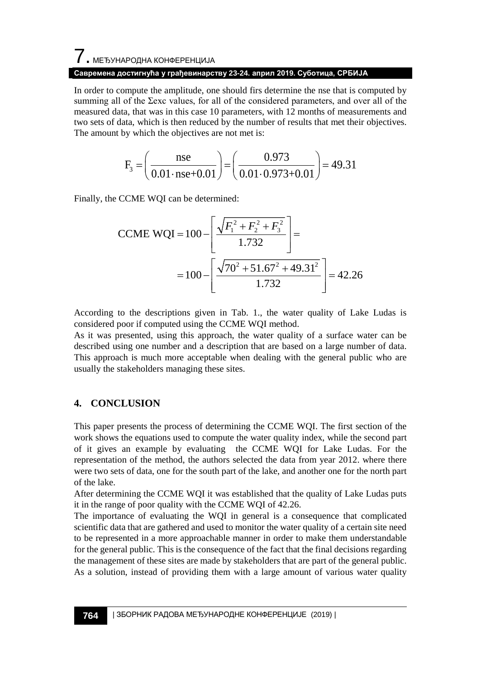# $\overline{\phantom{a}}$ . МЕЂУНАРОДНА КОНФЕРЕНЦИЈА

### **Савремена достигнућа у грађевинарству 23-24. април 2019. Суботица, СРБИЈА**

In order to compute the amplitude, one should firs determine the nse that is computed by summing all of the  $\Sigma$ exc values, for all of the considered parameters, and over all of the measured data, that was in this case 10 parameters, with 12 months of measurements and two sets of data, which is then reduced by the number of results that met their objectives. The amount by which the objectives are not met is:

$$
F_3 = \left(\frac{\text{nse}}{0.01 \cdot \text{nse} + 0.01}\right) = \left(\frac{0.973}{0.01 \cdot 0.973 + 0.01}\right) = 49.31
$$

Finally, the CCME WQI can be determined:

$$
\text{CCME WQI} = 100 - \left[ \frac{\sqrt{F_1^2 + F_2^2 + F_3^2}}{1.732} \right] =
$$

$$
= 100 - \left[ \frac{\sqrt{70^2 + 51.67^2 + 49.31^2}}{1.732} \right] = 42.26
$$

According to the descriptions given in Tab. 1., the water quality of Lake Ludas is considered poor if computed using the CCME WQI method.

As it was presented, using this approach, the water quality of a surface water can be described using one number and a description that are based on a large number of data. This approach is much more acceptable when dealing with the general public who are usually the stakeholders managing these sites.

### **4. CONCLUSION**

This paper presents the process of determining the CCME WQI. The first section of the work shows the equations used to compute the water quality index, while the second part of it gives an example by evaluating the CCME WQI for Lake Ludas. For the representation of the method, the authors selected the data from year 2012. where there were two sets of data, one for the south part of the lake, and another one for the north part of the lake.

After determining the CCME WQI it was established that the quality of Lake Ludas puts it in the range of poor quality with the CCME WQI of 42.26.

The importance of evaluating the WQI in general is a consequence that complicated scientific data that are gathered and used to monitor the water quality of a certain site need to be represented in a more approachable manner in order to make them understandable for the general public. This is the consequence of the fact that the final decisions regarding the management of these sites are made by stakeholders that are part of the general public. As a solution, instead of providing them with a large amount of various water quality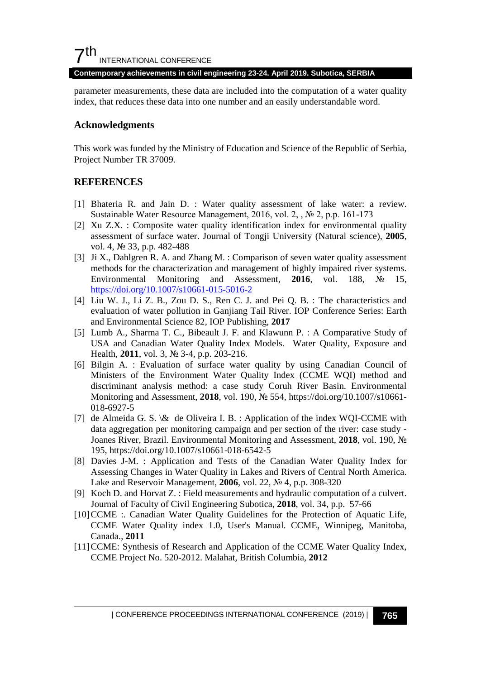# $7<sup>th</sup>$ INTERNATIONAL CONFERENCE

#### **Contemporary achievements in civil engineering 23-24. April 2019. Subotica, SERBIA**

parameter measurements, these data are included into the computation of a water quality index, that reduces these data into one number and an easily understandable word.

### **Acknowledgments**

This work was funded by the Ministry of Education and Science of the Republic of Serbia, Project Number TR 37009.

### **REFERENCES**

- [1] Bhateria R. and Jain D. : Water quality assessment of lake water: a review. Sustainable Water Resource Management, 2016, vol. 2, , № 2, p.p. 161-173
- [2] Xu Z.X. : Composite water quality identification index for environmental quality assessment of surface water. Journal of Tongji University (Natural science), **2005**, vol. 4, № 33, p.p. 482-488
- [3] Ji X., Dahlgren R. A. and Zhang M. : Comparison of seven water quality assessment methods for the characterization and management of highly impaired river systems. Environmental Monitoring and Assessment, **2016**, vol. 188, № 15, <https://doi.org/10.1007/s10661-015-5016-2>
- [4] Liu W. J., Li Z. B., Zou D. S., Ren C. J. and Pei Q. B. : The characteristics and evaluation of water pollution in Ganjiang Tail River. IOP Conference Series: Earth and Environmental Science 82, IOP Publishing, **2017**
- [5] Lumb A., Sharma T. C., Bibeault J. F. and Klawunn P. : A Comparative Study of USA and Canadian Water Quality Index Models. Water Quality, Exposure and Health, **2011**, vol. 3, № 3-4, p.p. 203-216.
- [6] Bilgin A. : Evaluation of surface water quality by using Canadian Council of Ministers of the Environment Water Quality Index (CCME WQI) method and discriminant analysis method: a case study Coruh River Basin. Environmental Monitoring and Assessment, **2018**, vol. 190, № 554, https://doi.org/10.1007/s10661- 018-6927-5
- [7] de Almeida G. S.  $\&$  de Oliveira I. B. : Application of the index WQI-CCME with data aggregation per monitoring campaign and per section of the river: case study - Joanes River, Brazil. Environmental Monitoring and Assessment, **2018**, vol. 190, № 195, https://doi.org/10.1007/s10661-018-6542-5
- [8] Davies J-M. : Application and Tests of the Canadian Water Quality Index for Assessing Changes in Water Quality in Lakes and Rivers of Central North America. Lake and Reservoir Management, **2006**, vol. 22, № 4, p.p. 308-320
- [9] Koch D. and Horvat Z. : Field measurements and hydraulic computation of a culvert. Journal of Faculty of Civil Engineering Subotica, **2018**, vol. 34, p.p. 57-66
- [10]CCME :. Canadian Water Quality Guidelines for the Protection of Aquatic Life, CCME Water Quality index 1.0, User's Manual. CCME, Winnipeg, Manitoba, Canada., **2011**
- [11]CCME: Synthesis of Research and Application of the CCME Water Quality Index, CCME Project No. 520-2012. Malahat, British Columbia, **2012**